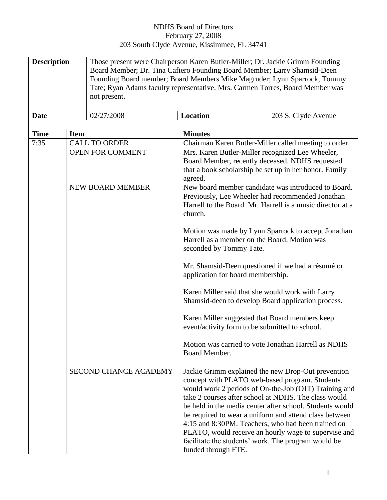## NDHS Board of Directors February 27, 2008 203 South Clyde Avenue, Kissimmee, FL 34741

| <b>Description</b> | Those present were Chairperson Karen Butler-Miller; Dr. Jackie Grimm Founding<br>Board Member; Dr. Tina Cafiero Founding Board Member; Larry Shamsid-Deen<br>Founding Board member; Board Members Mike Magruder; Lynn Sparrock, Tommy |                 |                     |  |
|--------------------|---------------------------------------------------------------------------------------------------------------------------------------------------------------------------------------------------------------------------------------|-----------------|---------------------|--|
|                    |                                                                                                                                                                                                                                       |                 |                     |  |
|                    |                                                                                                                                                                                                                                       |                 |                     |  |
|                    | Tate; Ryan Adams faculty representative. Mrs. Carmen Torres, Board Member was                                                                                                                                                         |                 |                     |  |
|                    | not present.                                                                                                                                                                                                                          |                 |                     |  |
|                    |                                                                                                                                                                                                                                       |                 |                     |  |
| Date               | 02/27/2008                                                                                                                                                                                                                            | <b>Location</b> | 203 S. Clyde Avenue |  |

| <b>Time</b> | <b>Item</b>                  | <b>Minutes</b>                                                                                                                                                                                                                                                                                                                                                                                                                                                                                                                          |
|-------------|------------------------------|-----------------------------------------------------------------------------------------------------------------------------------------------------------------------------------------------------------------------------------------------------------------------------------------------------------------------------------------------------------------------------------------------------------------------------------------------------------------------------------------------------------------------------------------|
| 7:35        | <b>CALL TO ORDER</b>         | Chairman Karen Butler-Miller called meeting to order.                                                                                                                                                                                                                                                                                                                                                                                                                                                                                   |
|             | <b>OPEN FOR COMMENT</b>      | Mrs. Karen Butler-Miller recognized Lee Wheeler,<br>Board Member, recently deceased. NDHS requested<br>that a book scholarship be set up in her honor. Family<br>agreed.                                                                                                                                                                                                                                                                                                                                                                |
|             | <b>NEW BOARD MEMBER</b>      | New board member candidate was introduced to Board.<br>Previously, Lee Wheeler had recommended Jonathan<br>Harrell to the Board. Mr. Harrell is a music director at a<br>church.                                                                                                                                                                                                                                                                                                                                                        |
|             |                              | Motion was made by Lynn Sparrock to accept Jonathan<br>Harrell as a member on the Board. Motion was<br>seconded by Tommy Tate.                                                                                                                                                                                                                                                                                                                                                                                                          |
|             |                              | Mr. Shamsid-Deen questioned if we had a résumé or<br>application for board membership.                                                                                                                                                                                                                                                                                                                                                                                                                                                  |
|             |                              | Karen Miller said that she would work with Larry<br>Shamsid-deen to develop Board application process.                                                                                                                                                                                                                                                                                                                                                                                                                                  |
|             |                              | Karen Miller suggested that Board members keep<br>event/activity form to be submitted to school.                                                                                                                                                                                                                                                                                                                                                                                                                                        |
|             |                              | Motion was carried to vote Jonathan Harrell as NDHS<br>Board Member.                                                                                                                                                                                                                                                                                                                                                                                                                                                                    |
|             | <b>SECOND CHANCE ACADEMY</b> | Jackie Grimm explained the new Drop-Out prevention<br>concept with PLATO web-based program. Students<br>would work 2 periods of On-the-Job (OJT) Training and<br>take 2 courses after school at NDHS. The class would<br>be held in the media center after school. Students would<br>be required to wear a uniform and attend class between<br>4:15 and 8:30PM. Teachers, who had been trained on<br>PLATO, would receive an hourly wage to supervise and<br>facilitate the students' work. The program would be<br>funded through FTE. |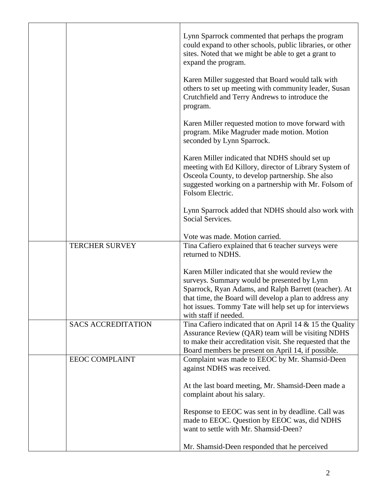|                           | Lynn Sparrock commented that perhaps the program<br>could expand to other schools, public libraries, or other<br>sites. Noted that we might be able to get a grant to<br>expand the program.                                                                                                           |
|---------------------------|--------------------------------------------------------------------------------------------------------------------------------------------------------------------------------------------------------------------------------------------------------------------------------------------------------|
|                           | Karen Miller suggested that Board would talk with<br>others to set up meeting with community leader, Susan<br>Crutchfield and Terry Andrews to introduce the<br>program.                                                                                                                               |
|                           | Karen Miller requested motion to move forward with<br>program. Mike Magruder made motion. Motion<br>seconded by Lynn Sparrock.                                                                                                                                                                         |
|                           | Karen Miller indicated that NDHS should set up<br>meeting with Ed Killory, director of Library System of<br>Osceola County, to develop partnership. She also<br>suggested working on a partnership with Mr. Folsom of<br>Folsom Electric.                                                              |
|                           | Lynn Sparrock added that NDHS should also work with<br>Social Services.                                                                                                                                                                                                                                |
|                           | Vote was made. Motion carried.                                                                                                                                                                                                                                                                         |
| <b>TERCHER SURVEY</b>     | Tina Cafiero explained that 6 teacher surveys were<br>returned to NDHS.                                                                                                                                                                                                                                |
|                           | Karen Miller indicated that she would review the<br>surveys. Summary would be presented by Lynn<br>Sparrock, Ryan Adams, and Ralph Barrett (teacher). At<br>that time, the Board will develop a plan to address any<br>hot issues. Tommy Tate will help set up for interviews<br>with staff if needed. |
| <b>SACS ACCREDITATION</b> | Tina Cafiero indicated that on April 14 & 15 the Quality<br>Assurance Review (QAR) team will be visiting NDHS<br>to make their accreditation visit. She requested that the<br>Board members be present on April 14, if possible.                                                                       |
| <b>EEOC COMPLAINT</b>     | Complaint was made to EEOC by Mr. Shamsid-Deen<br>against NDHS was received.                                                                                                                                                                                                                           |
|                           | At the last board meeting, Mr. Shamsid-Deen made a<br>complaint about his salary.                                                                                                                                                                                                                      |
|                           | Response to EEOC was sent in by deadline. Call was<br>made to EEOC. Question by EEOC was, did NDHS<br>want to settle with Mr. Shamsid-Deen?                                                                                                                                                            |
|                           | Mr. Shamsid-Deen responded that he perceived                                                                                                                                                                                                                                                           |